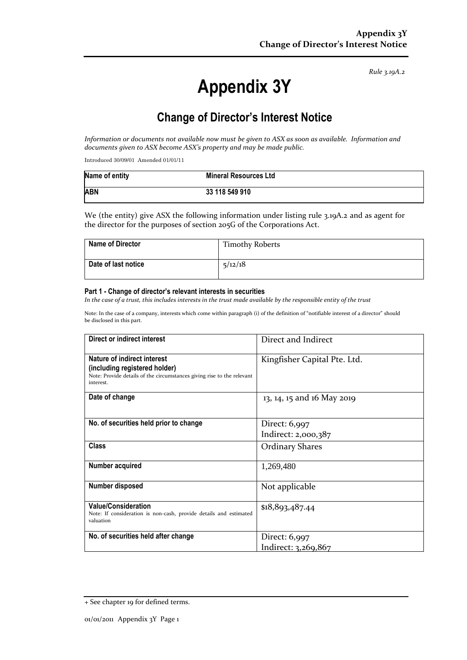*Rule 3.19A.2*

# **Appendix 3Y**

# **Change of Director's Interest Notice**

*Information or documents not available now must be given to ASX as soon as available. Information and documents given to ASX become ASX's property and may be made public.*

Introduced 30/09/01 Amended 01/01/11

| Name of entity | <b>Mineral Resources Ltd</b> |
|----------------|------------------------------|
| <b>ABN</b>     | 33 118 549 910               |

We (the entity) give ASX the following information under listing rule 3.19A.2 and as agent for the director for the purposes of section 205G of the Corporations Act.

| <b>Name of Director</b> | <b>Timothy Roberts</b> |
|-------------------------|------------------------|
| Date of last notice     | 5/12/18                |

#### **Part 1 - Change of director's relevant interests in securities**

*In the case of a trust, this includes interests in the trust made available by the responsible entity of the trust*

Note: In the case of a company, interests which come within paragraph (i) of the definition of "notifiable interest of a director" should be disclosed in this part.

| Direct or indirect interest                                                                                                                         | Direct and Indirect          |
|-----------------------------------------------------------------------------------------------------------------------------------------------------|------------------------------|
| Nature of indirect interest<br>(including registered holder)<br>Note: Provide details of the circumstances giving rise to the relevant<br>interest. | Kingfisher Capital Pte. Ltd. |
| Date of change                                                                                                                                      | 13, 14, 15 and 16 May 2019   |
| No. of securities held prior to change                                                                                                              | Direct: 6,997                |
|                                                                                                                                                     | Indirect: 2,000,387          |
| <b>Class</b>                                                                                                                                        | <b>Ordinary Shares</b>       |
| Number acquired                                                                                                                                     | 1,269,480                    |
| <b>Number disposed</b>                                                                                                                              | Not applicable               |
| <b>Value/Consideration</b><br>Note: If consideration is non-cash, provide details and estimated<br>valuation                                        | \$18,893,487.44              |
| No. of securities held after change                                                                                                                 | Direct: 6,997                |
|                                                                                                                                                     | Indirect: 3,269,867          |

<sup>+</sup> See chapter 19 for defined terms.